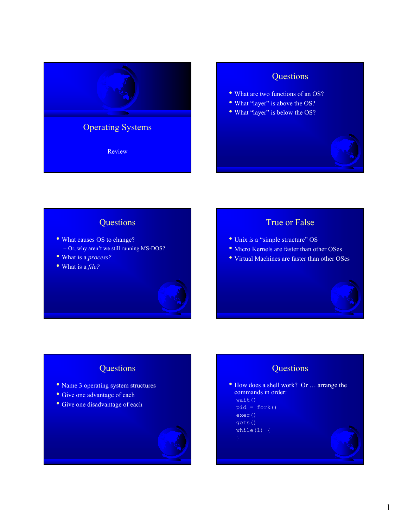

## **Questions**

- What are two functions of an OS?
- What "layer" is above the OS?
- What "layer" is below the OS?



## **Questions**

- What causes OS to change? – Or, why aren't we still running MS-DOS?
- What is a *process?*
- What is a *file?*

# True or False

- Unix is a "simple structure" OS
- Micro Kernels are faster than other OSes
- Virtual Machines are faster than other OSes



# **Questions**

- Name 3 operating system structures
- Give one advantage of each
- Give one disadvantage of each



## **Questions**

• How does a shell work? Or … arrange the commands in order: wait()  $pid =$  fork() exec()

- gets() while $(1)$  {
-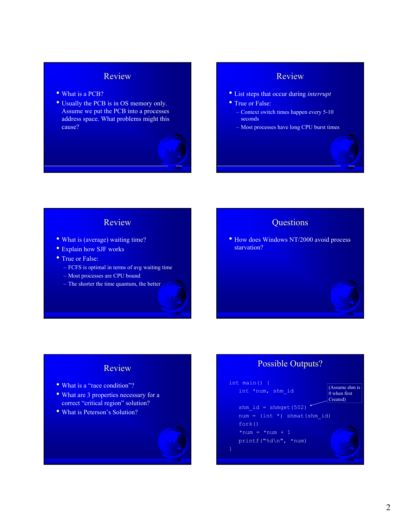## Review

- What is a PCB?
- Usually the PCB is in OS memory only. Assume we put the PCB into a processes address space. What problems might this cause?



#### Review

- List steps that occur during *interrupt*
- True or False:
	- Context switch times happen every 5-10 seconds
	- Most processes have long CPU burst times

#### Review

- What is (average) waiting time?
- Explain how SJF works
- True or False:
	- FCFS is optimal in terms of avg waiting time
	- Most processes are CPU bound
	- The shorter the time quantum, the better

## **Ouestions**

• How does Windows NT/2000 avoid process starvation?

## Possible Outputs?

#### int main() { int \*num, shm\_id shm  $id =$  shmget(502) num =  $(int * )$  shmat(shm id) fork()  $*num = *num + 1$ printf("%d\n", \*num) (Assume shm is 0 when first Created)

## Review

- What is a "race condition"?
- What are 3 properties necessary for a correct "critical region" solution?
- What is Peterson's Solution?

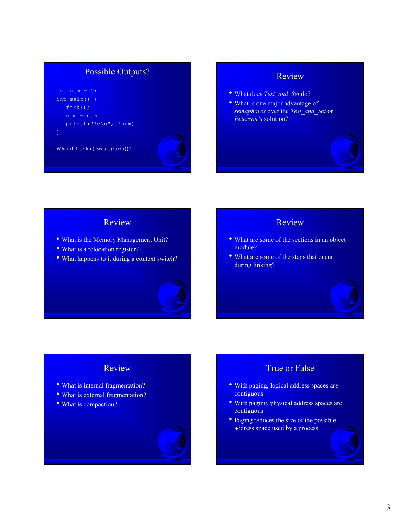## Possible Outputs?

```
int num = 0;int main() { 
fork();
num = num + 1printf("%d\n", *num)
```
What if fork() was spawn()?

### Review

- What does *Test\_and\_Set* do?
- What is one major advantage of *semaphores* over the *Test\_and\_Set* or *Peterson's* solution?

#### Review

- What is the Memory Management Unit?
- What is a relocation register?
- What happens to it during a context switch?



#### Review

- What are some of the sections in an object module?
- What are some of the steps that occur during linking?

# Review

- What is internal fragmentation?
- What is external fragmentation?
- What is compaction?



# True or False

- With paging, logical address spaces are contiguous
- With paging, physical address spaces are contiguous
- Paging reduces the size of the possible address space used by a process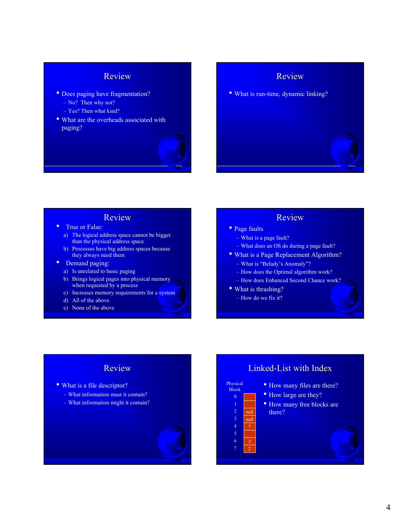## Review

- Does paging have fragmentation? – No? Then why not?
	- Yes? Then what kind?
- What are the overheads associated with paging?



### Review

• What is run-time, dynamic linking?

- **Review**<br>• True or False:
	- a) The logical address space cannot be bigger than the physical address space
	- b) Processes have big address spaces because they always need them
- Demand paging:
	- a) Is unrelated to basic paging
	- b) Brings logical pages into physical memory when requested by a process
	- c) Increases memory requirements for a system
	- d) All of the above
	- e) None of the above

#### Review

- Page faults
	- What is a page fault?
	- What does an OS do during a page fault?
- What is a Page Replacement Algorithm?
	- What is "Belady's Anomaly"?
	- How does the Optimal algorithm work?
	- How does Enhanced Second Chance work?
- What is thrashing?

6 7 2

– How do we fix it?

#### Review

- What is a file descriptor?
	- What information must it contain?
	- What information might it contain?